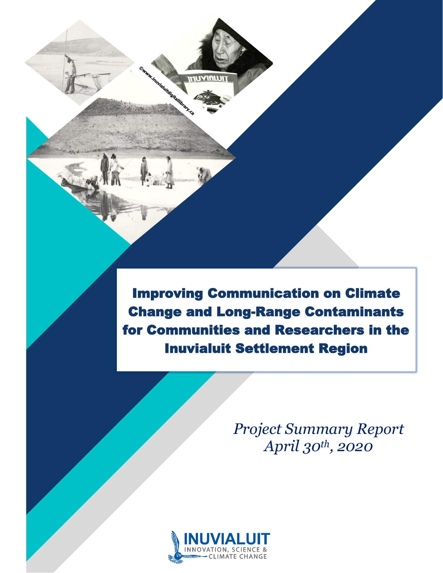Improving Communication on Climate Change and Long-Range Contaminants for Communities and Researchers in the Inuvialuit Settlement Region

> *Project Summary Report April 30th, 2020*



**Manufacture de l'architecture de l'architecture de l'architecture de l'architecture de la décembre de la** 

**THUYIALUI** 

[Type here]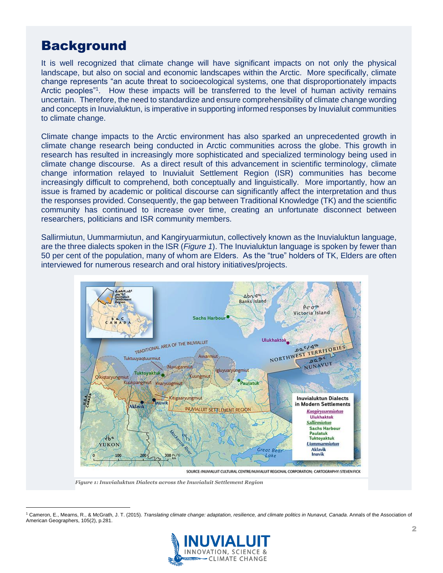### **Background**

It is well recognized that climate change will have significant impacts on not only the physical landscape, but also on social and economic landscapes within the Arctic. More specifically, climate change represents "an acute threat to socioecological systems, one that disproportionately impacts Arctic peoples"<sup>1</sup>. How these impacts will be transferred to the level of human activity remains uncertain. Therefore, the need to standardize and ensure comprehensibility of climate change wording and concepts in Inuvialuktun, is imperative in supporting informed responses by Inuvialuit communities to climate change.

Climate change impacts to the Arctic environment has also sparked an unprecedented growth in climate change research being conducted in Arctic communities across the globe. This growth in research has resulted in increasingly more sophisticated and specialized terminology being used in climate change discourse. As a direct result of this advancement in scientific terminology, climate change information relayed to Inuvialuit Settlement Region (ISR) communities has become increasingly difficult to comprehend, both conceptually and linguistically. More importantly, how an issue is framed by academic or political discourse can significantly affect the interpretation and thus the responses provided. Consequently, the gap between Traditional Knowledge (TK) and the scientific community has continued to increase over time, creating an unfortunate disconnect between researchers, politicians and ISR community members.

Sallirmiutun, Uummarmiutun, and Kangiryuarmiutun, collectively known as the Inuvialuktun language, are the three dialects spoken in the ISR (*Figure 1*). The Inuvialuktun language is spoken by fewer than 50 per cent of the population, many of whom are Elders. As the "true" holders of TK, Elders are often interviewed for numerous research and oral history initiatives/projects.



*Figure 1: Inuvialuktun Dialects across the Inuvialuit Settlement Region*

<sup>1</sup> Cameron, E., Mearns, R., & McGrath, J. T. (2015). *Translating climate change: adaptation, resilience, and climate politics in Nunavut, Canada*. Annals of the Association of American Geographers, 105(2), p.281.

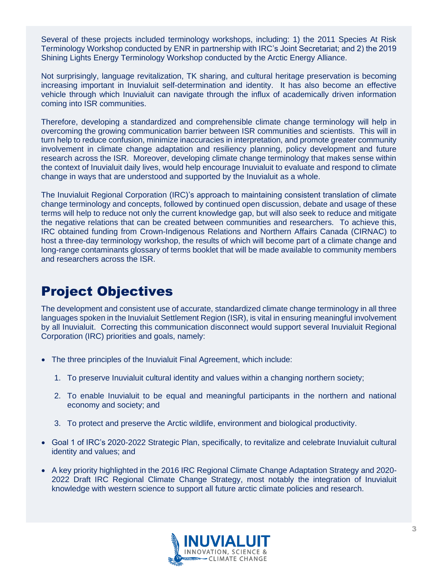Several of these projects included terminology workshops, including: 1) the 2011 Species At Risk Terminology Workshop conducted by ENR in partnership with IRC's Joint Secretariat; and 2) the 2019 Shining Lights Energy Terminology Workshop conducted by the Arctic Energy Alliance.

Not surprisingly, language revitalization, TK sharing, and cultural heritage preservation is becoming increasing important in Inuvialuit self-determination and identity. It has also become an effective vehicle through which Inuvialuit can navigate through the influx of academically driven information coming into ISR communities.

Therefore, developing a standardized and comprehensible climate change terminology will help in overcoming the growing communication barrier between ISR communities and scientists. This will in turn help to reduce confusion, minimize inaccuracies in interpretation, and promote greater community involvement in climate change adaptation and resiliency planning, policy development and future research across the ISR. Moreover, developing climate change terminology that makes sense within the context of Inuvialuit daily lives, would help encourage Inuvialuit to evaluate and respond to climate change in ways that are understood and supported by the Inuvialuit as a whole.

The Inuvialuit Regional Corporation (IRC)'s approach to maintaining consistent translation of climate change terminology and concepts, followed by continued open discussion, debate and usage of these terms will help to reduce not only the current knowledge gap, but will also seek to reduce and mitigate the negative relations that can be created between communities and researchers. To achieve this, IRC obtained funding from Crown-Indigenous Relations and Northern Affairs Canada (CIRNAC) to host a three-day terminology workshop, the results of which will become part of a climate change and long-range contaminants glossary of terms booklet that will be made available to community members and researchers across the ISR.

# Project Objectives

The development and consistent use of accurate, standardized climate change terminology in all three languages spoken in the Inuvialuit Settlement Region (ISR), is vital in ensuring meaningful involvement by all Inuvialuit. Correcting this communication disconnect would support several Inuvialuit Regional Corporation (IRC) priorities and goals, namely:

- The three principles of the Inuvialuit Final Agreement, which include:
	- 1. To preserve Inuvialuit cultural identity and values within a changing northern society;
	- 2. To enable Inuvialuit to be equal and meaningful participants in the northern and national economy and society; and
	- 3. To protect and preserve the Arctic wildlife, environment and biological productivity.
- Goal 1 of IRC's 2020-2022 Strategic Plan, specifically, to revitalize and celebrate Inuvialuit cultural identity and values; and
- A key priority highlighted in the 2016 IRC Regional Climate Change Adaptation Strategy and 2020- 2022 Draft IRC Regional Climate Change Strategy, most notably the integration of Inuvialuit knowledge with western science to support all future arctic climate policies and research.

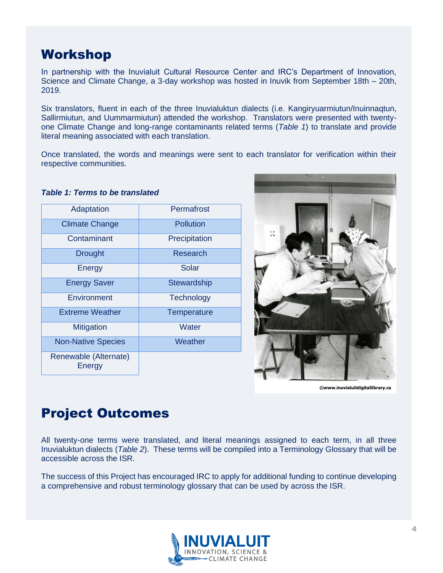### Workshop

In partnership with the Inuvialuit Cultural Resource Center and IRC's Department of Innovation, Science and Climate Change, a 3-day workshop was hosted in Inuvik from September 18th – 20th, 2019.

Six translators, fluent in each of the three Inuvialuktun dialects (i.e. Kangiryuarmiutun/Inuinnaqtun, Sallirmiutun, and Uummarmiutun) attended the workshop. Translators were presented with twentyone Climate Change and long-range contaminants related terms (*Table 1*) to translate and provide literal meaning associated with each translation.

Once translated, the words and meanings were sent to each translator for verification within their respective communities.

| Adaptation                      | Permafrost         |  |  |  |
|---------------------------------|--------------------|--|--|--|
| <b>Climate Change</b>           | <b>Pollution</b>   |  |  |  |
| Contaminant                     | Precipitation      |  |  |  |
| <b>Drought</b>                  | Research           |  |  |  |
| Energy                          | Solar              |  |  |  |
| <b>Energy Saver</b>             | <b>Stewardship</b> |  |  |  |
| Environment                     | Technology         |  |  |  |
| <b>Extreme Weather</b>          | Temperature        |  |  |  |
| <b>Mitigation</b>               | Water              |  |  |  |
| <b>Non-Native Species</b>       | Weather            |  |  |  |
| Renewable (Alternate)<br>Energy |                    |  |  |  |

#### *Table 1: Terms to be translated*



**©www.inuvialuitdigitallibrary.ca**

## Project Outcomes

All twenty-one terms were translated, and literal meanings assigned to each term, in all three Inuvialuktun dialects (*Table 2*). These terms will be compiled into a Terminology Glossary that will be accessible across the ISR.

The success of this Project has encouraged IRC to apply for additional funding to continue developing a comprehensive and robust terminology glossary that can be used by across the ISR.

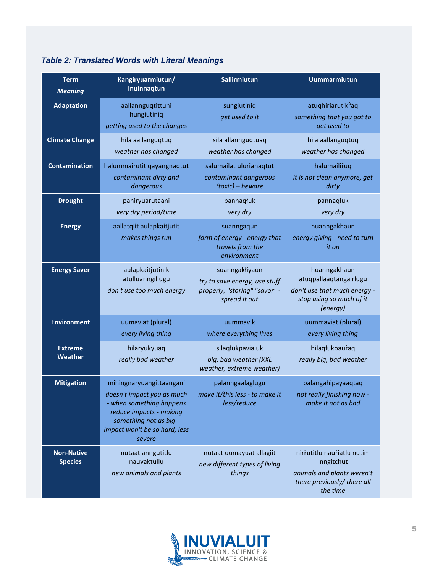| <b>Term</b><br><b>Meaning</b>       | Kangiryuarmiutun/<br>Inuinnaqtun                                                                                                                                                   | Sallirmiutun                                                                                      | <b>Uummarmiutun</b>                                                                                               |
|-------------------------------------|------------------------------------------------------------------------------------------------------------------------------------------------------------------------------------|---------------------------------------------------------------------------------------------------|-------------------------------------------------------------------------------------------------------------------|
| <b>Adaptation</b>                   | aallannguqtittuni<br>hungiutiniq<br>getting used to the changes                                                                                                                    | sungiutiniq<br>get used to it                                                                     | atuqhiriarutikraq<br>something that you got to<br>get used to                                                     |
| <b>Climate Change</b>               | hila aallanguqtuq<br>weather has changed                                                                                                                                           | sila allannguqtuaq<br>weather has changed                                                         | hila aallanguqtuq<br>weather has changed                                                                          |
| <b>Contamination</b>                | halummairutit qayangnaqtut<br>contaminant dirty and<br>dangerous                                                                                                                   | salumailat ulurianaqtut<br>contaminant dangerous<br>(toxic) - beware                              | halumailiruq<br>it is not clean anymore, get<br>dirty                                                             |
| <b>Drought</b>                      | paniryuarutaani<br>very dry period/time                                                                                                                                            | pannaqłuk<br>very dry                                                                             | pannaqłuk<br>very dry                                                                                             |
| <b>Energy</b>                       | aallatqiit aulapkaitjutit<br>makes things run                                                                                                                                      | suanngaqun<br>form of energy - energy that<br>travels from the<br>environment                     | huanngakhaun<br>energy giving - need to turn<br>it on                                                             |
| <b>Energy Saver</b>                 | aulapkaitjutinik<br>atulluanngillugu<br>don't use too much energy                                                                                                                  | suanngakłiyaun<br>try to save energy, use stuff<br>properly, "storing" "savor" -<br>spread it out | huanngakhaun<br>atuqpallaaqtangairlugu<br>don't use that much energy -<br>stop using so much of it<br>(energy)    |
| <b>Environment</b>                  | uumaviat (plural)<br>every living thing                                                                                                                                            | uummavik<br>where everything lives                                                                | uummaviat (plural)<br>every living thing                                                                          |
| <b>Extreme</b><br>Weather           | hilaryukyuaq<br>really bad weather                                                                                                                                                 | silaqłukpavialuk<br>big, bad weather (XXL<br>weather, extreme weather)                            | hilaqłukpauraq<br>really big, bad weather                                                                         |
| <b>Mitigation</b>                   | mihingnaryuangittaangani<br>doesn't impact you as much<br>- when something happens<br>reduce impacts - making<br>something not as big -<br>impact won't be so hard, less<br>severe | palanngaalaglugu<br>make it/this less - to make it<br>less/reduce                                 | palangahipayaaqtaq<br>not really finishing now -<br>make it not as bad                                            |
| <b>Non-Native</b><br><b>Species</b> | nutaat anngutitlu<br>nauvaktullu<br>new animals and plants                                                                                                                         | nutaat uumayuat allagiit<br>new different types of living<br>things                               | nirîutitlu nauriatlu nutim<br>inngitchut<br>animals and plants weren't<br>there previously/ there all<br>the time |

### *Table 2: Translated Words with Literal Meanings*

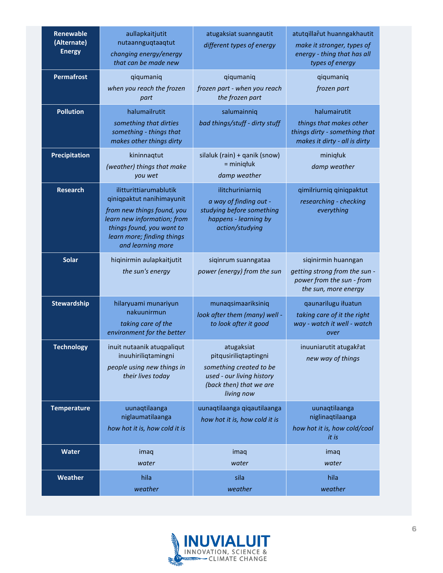| <b>Renewable</b><br>(Alternate)<br><b>Energy</b> | aullapkaitjutit<br>nutaannguqtaaqtut<br>changing energy/energy<br>that can be made new                                                                                                           | atugaksiat suanngautit<br>different types of energy                                                                                  | atutqillarut huanngakhautit<br>make it stronger, types of<br>energy - thing that has all<br>types of energy |
|--------------------------------------------------|--------------------------------------------------------------------------------------------------------------------------------------------------------------------------------------------------|--------------------------------------------------------------------------------------------------------------------------------------|-------------------------------------------------------------------------------------------------------------|
| <b>Permafrost</b>                                | qiqumaniq<br>when you reach the frozen<br>part                                                                                                                                                   | qiqumaniq<br>frozen part - when you reach<br>the frozen part                                                                         | qiqumaniq<br>frozen part                                                                                    |
| <b>Pollution</b>                                 | halumailrutit<br>something that dirties<br>something - things that<br>makes other things dirty                                                                                                   | salumainniq<br>bad things/stuff - dirty stuff                                                                                        | halumairutit<br>things that makes other<br>things dirty - something that<br>makes it dirty - all is dirty   |
| Precipitation                                    | kininnaqtut<br>(weather) things that make<br>you wet                                                                                                                                             | silaluk (rain) + qanik (snow)<br>$=$ miniq $t$ uk<br>damp weather                                                                    | miniqłuk<br>damp weather                                                                                    |
| <b>Research</b>                                  | ilitturittiarumablutik<br>qiniqpaktut nanihimayunit<br>from new things found, you<br>learn new information; from<br>things found, you want to<br>learn more; finding things<br>and learning more | ilitchuriniarniq<br>a way of finding out -<br>studying before something<br>happens - learning by<br>action/studying                  | qimilriurniq qiniqpaktut<br>researching - checking<br>everything                                            |
| <b>Solar</b>                                     | hiqinirmin aulapkaitjutit<br>the sun's energy                                                                                                                                                    | siqinrum suanngataa<br>power (energy) from the sun                                                                                   | siqinirmin huanngan<br>getting strong from the sun -<br>power from the sun - from<br>the sun, more energy   |
| <b>Stewardship</b>                               | hilaryuami munariyun<br>nakuunirmun<br>taking care of the<br>environment for the better                                                                                                          | munaqsimaariksiniq<br>look after them (many) well -<br>to look after it good                                                         | qaunarilugu iłuatun<br>taking care of it the right<br>way - watch it well - watch<br>over                   |
| <b>Technology</b>                                | inuit nutaanik atuqpaliqut<br>inuuhiriliqtamingni<br>people using new things in<br>their lives today                                                                                             | atugaksiat<br>pitqusiriliqtaptingni<br>something created to be<br>used - our living history<br>(back then) that we are<br>living now | inuuniarutit atugakrat<br>new way of things                                                                 |
| <b>Temperature</b>                               | uunaqtilaanga<br>niglaumatilaanga<br>how hot it is, how cold it is                                                                                                                               | uunaqtilaanga qiqautilaanga<br>how hot it is, how cold it is                                                                         | uunaqtilaanga<br>niglinaqtilaanga<br>how hot it is, how cold/cool<br>it is                                  |
| <b>Water</b>                                     | imaq<br>water                                                                                                                                                                                    | imaq<br>water                                                                                                                        | imaq<br>water                                                                                               |
| Weather                                          | hila<br>weather                                                                                                                                                                                  | sila<br>weather                                                                                                                      | hila<br>weather                                                                                             |